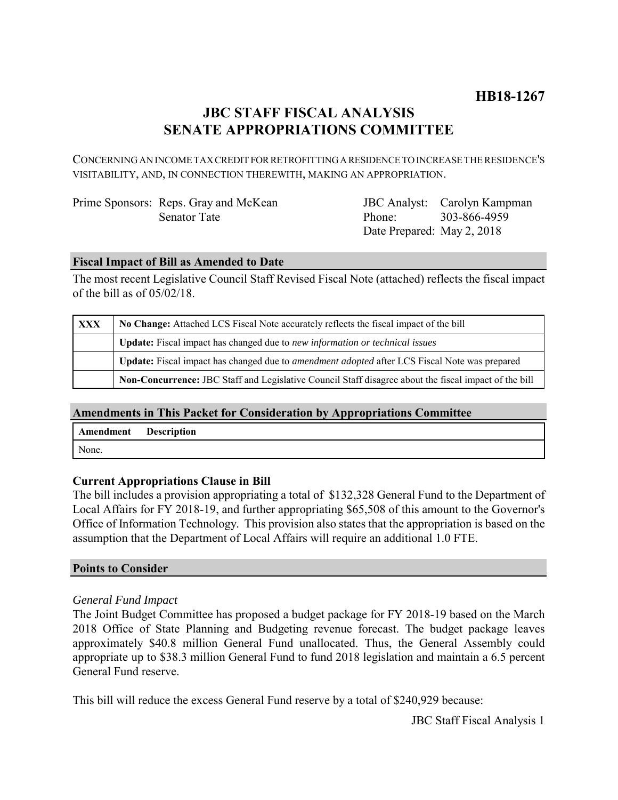# **JBC STAFF FISCAL ANALYSIS SENATE APPROPRIATIONS COMMITTEE**

CONCERNING AN INCOME TAX CREDIT FOR RETROFITTING A RESIDENCE TO INCREASE THE RESIDENCE'S VISITABILITY, AND, IN CONNECTION THEREWITH, MAKING AN APPROPRIATION.

| Prime Sponsors: Reps. Gray and McKean |
|---------------------------------------|
| <b>Senator Tate</b>                   |

JBC Analyst: Carolyn Kampman Phone: Date Prepared: May 2, 2018 303-866-4959

### **Fiscal Impact of Bill as Amended to Date**

The most recent Legislative Council Staff Revised Fiscal Note (attached) reflects the fiscal impact of the bill as of 05/02/18.

| XXX | No Change: Attached LCS Fiscal Note accurately reflects the fiscal impact of the bill                       |  |
|-----|-------------------------------------------------------------------------------------------------------------|--|
|     | <b>Update:</b> Fiscal impact has changed due to new information or technical issues                         |  |
|     | <b>Update:</b> Fiscal impact has changed due to <i>amendment adopted</i> after LCS Fiscal Note was prepared |  |
|     | Non-Concurrence: JBC Staff and Legislative Council Staff disagree about the fiscal impact of the bill       |  |

## **Amendments in This Packet for Consideration by Appropriations Committee**

| Amendment Description |  |
|-----------------------|--|
| None.                 |  |

### **Current Appropriations Clause in Bill**

The bill includes a provision appropriating a total of \$132,328 General Fund to the Department of Local Affairs for FY 2018-19, and further appropriating \$65,508 of this amount to the Governor's Office of Information Technology. This provision also states that the appropriation is based on the assumption that the Department of Local Affairs will require an additional 1.0 FTE.

### **Points to Consider**

### *General Fund Impact*

The Joint Budget Committee has proposed a budget package for FY 2018-19 based on the March 2018 Office of State Planning and Budgeting revenue forecast. The budget package leaves approximately \$40.8 million General Fund unallocated. Thus, the General Assembly could appropriate up to \$38.3 million General Fund to fund 2018 legislation and maintain a 6.5 percent General Fund reserve.

This bill will reduce the excess General Fund reserve by a total of \$240,929 because: